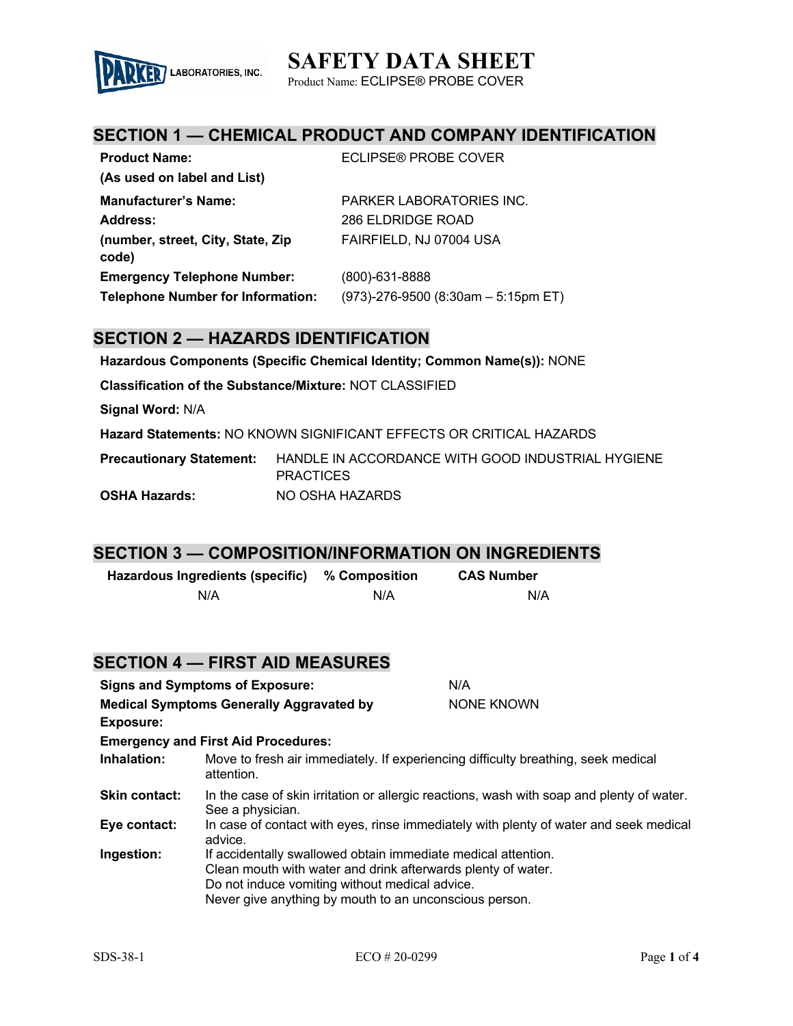# **SAFETY DATA SHEET**



Product Name: ECLIPSE® PROBE COVER

## **SECTION 1 — CHEMICAL PRODUCT AND COMPANY IDENTIFICATION**

| <b>Product Name:</b>                       | ECLIPSE® PROBE COVER                   |
|--------------------------------------------|----------------------------------------|
| (As used on label and List)                |                                        |
| <b>Manufacturer's Name:</b>                | PARKER LABORATORIES INC.               |
| Address:                                   | 286 ELDRIDGE ROAD                      |
| (number, street, City, State, Zip<br>code) | FAIRFIELD, NJ 07004 USA                |
| <b>Emergency Telephone Number:</b>         | $(800)$ -631-8888                      |
| <b>Telephone Number for Information:</b>   | $(973)$ -276-9500 (8:30am - 5:15pm ET) |

### **SECTION 2 — HAZARDS IDENTIFICATION**

**Hazardous Components (Specific Chemical Identity; Common Name(s)):** NONE

**Classification of the Substance/Mixture:** NOT CLASSIFIED

**Signal Word:** N/A

**Hazard Statements:** NO KNOWN SIGNIFICANT EFFECTS OR CRITICAL HAZARDS

**Precautionary Statement:** HANDLE IN ACCORDANCE WITH GOOD INDUSTRIAL HYGIENE **PRACTICES OSHA Hazards:** NO OSHA HAZARDS

#### **SECTION 3 — COMPOSITION/INFORMATION ON INGREDIENTS**

| Hazardous Ingredients (specific) | % Composition | <b>CAS Number</b> |
|----------------------------------|---------------|-------------------|
| N/A                              | N/A           | N/A               |

|                                                                     | <b>SECTION 4 — FIRST AID MEASURES</b>                                                                                                                                                                                                     |            |
|---------------------------------------------------------------------|-------------------------------------------------------------------------------------------------------------------------------------------------------------------------------------------------------------------------------------------|------------|
| <b>Signs and Symptoms of Exposure:</b>                              |                                                                                                                                                                                                                                           | N/A        |
| <b>Medical Symptoms Generally Aggravated by</b><br><b>Exposure:</b> |                                                                                                                                                                                                                                           | NONE KNOWN |
|                                                                     | <b>Emergency and First Aid Procedures:</b>                                                                                                                                                                                                |            |
| Inhalation:                                                         | Move to fresh air immediately. If experiencing difficulty breathing, seek medical<br>attention.                                                                                                                                           |            |
| <b>Skin contact:</b>                                                | In the case of skin irritation or allergic reactions, wash with soap and plenty of water.<br>See a physician.                                                                                                                             |            |
| Eye contact:                                                        | In case of contact with eyes, rinse immediately with plenty of water and seek medical<br>advice.                                                                                                                                          |            |
| Ingestion:                                                          | If accidentally swallowed obtain immediate medical attention.<br>Clean mouth with water and drink afterwards plenty of water.<br>Do not induce vomiting without medical advice.<br>Never give anything by mouth to an unconscious person. |            |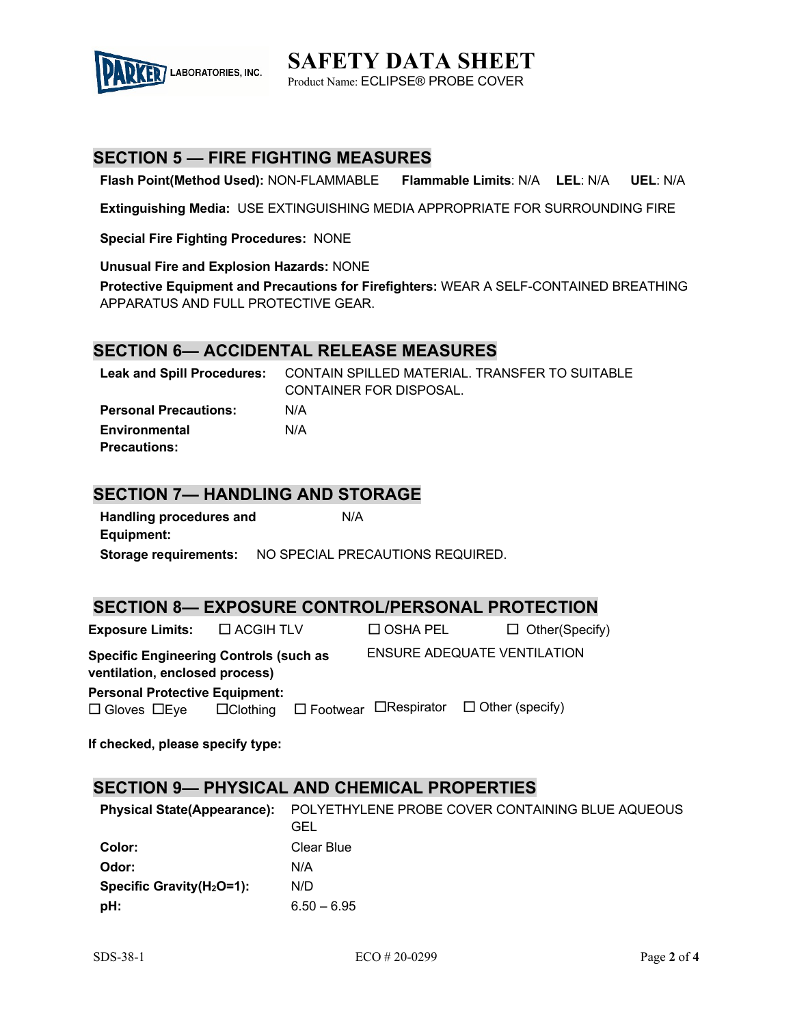

**SAFETY DATA SHEET** Product Name: ECLIPSE® PROBE COVER

## **SECTION 5 — FIRE FIGHTING MEASURES**

**Flash Point(Method Used):** NON-FLAMMABLE **Flammable Limits**: N/A **LEL**: N/A **UEL**: N/A

**Extinguishing Media:** USE EXTINGUISHING MEDIA APPROPRIATE FOR SURROUNDING FIRE

**Special Fire Fighting Procedures:** NONE

**Unusual Fire and Explosion Hazards:** NONE

**Protective Equipment and Precautions for Firefighters:** WEAR A SELF-CONTAINED BREATHING APPARATUS AND FULL PROTECTIVE GEAR.

#### **SECTION 6— ACCIDENTAL RELEASE MEASURES**

|                              | Leak and Spill Procedures: CONTAIN SPILLED MATERIAL. TRANSFER TO SUITABLE |
|------------------------------|---------------------------------------------------------------------------|
|                              | CONTAINER FOR DISPOSAL.                                                   |
| <b>Personal Precautions:</b> | N/A                                                                       |
| Environmental                | N/A                                                                       |
| <b>Precautions:</b>          |                                                                           |

### **SECTION 7— HANDLING AND STORAGE**

| <b>Handling procedures and</b> | N/A                              |
|--------------------------------|----------------------------------|
| Equipment:                     |                                  |
| Storage reguirements:          | NO SPECIAL PRECAUTIONS REQUIRED. |

#### **SECTION 8— EXPOSURE CONTROL/PERSONAL PROTECTION**

| <b>Exposure Limits:</b> $\Box$ ACGIH TLV                                        |  | $\Box$ OSHA PEL | $\Box$ Other(Specify)                                                    |
|---------------------------------------------------------------------------------|--|-----------------|--------------------------------------------------------------------------|
| <b>Specific Engineering Controls (such as</b><br>ventilation, enclosed process) |  |                 | <b>ENSURE ADEQUATE VENTILATION</b>                                       |
| <b>Personal Protective Equipment:</b>                                           |  |                 |                                                                          |
| $\square$ Gloves $\square$ Eye                                                  |  |                 | $\Box$ Clothing $\Box$ Footwear $\Box$ Respirator $\Box$ Other (specify) |
|                                                                                 |  |                 |                                                                          |

**If checked, please specify type:**

### **SECTION 9— PHYSICAL AND CHEMICAL PROPERTIES**

| <b>Physical State(Appearance):</b> | POLYETHYLENE PROBE COVER CONTAINING BLUE AQUEOUS<br>GEL |
|------------------------------------|---------------------------------------------------------|
| Color:                             | Clear Blue                                              |
| Odor:                              | N/A                                                     |
| Specific Gravity $(H_2O=1)$ :      | N/D                                                     |
| pH:                                | $6.50 - 6.95$                                           |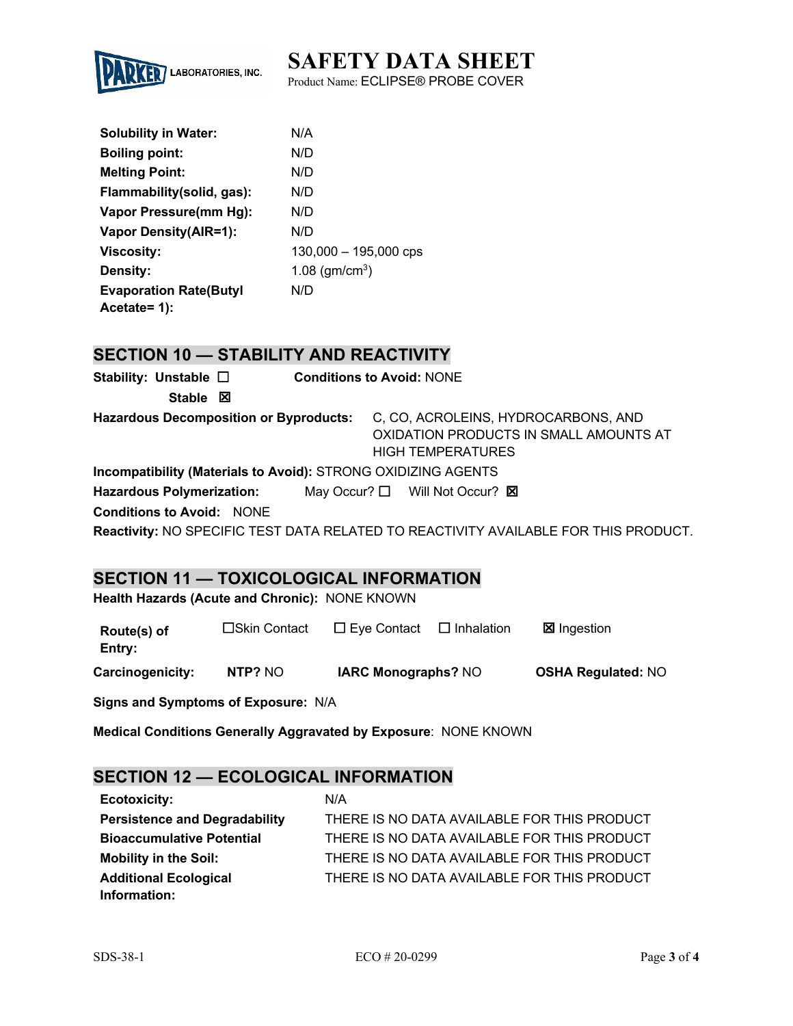# **SAFETY DATA SHEET**



Product Name: ECLIPSE® PROBE COVER

| <b>Solubility in Water:</b>    | N/A                     |
|--------------------------------|-------------------------|
| <b>Boiling point:</b>          | N/D                     |
| <b>Melting Point:</b>          | N/D                     |
| Flammability (solid, gas):     | N/D                     |
| Vapor Pressure(mm Hg):         | N/D                     |
| <b>Vapor Density(AIR=1):</b>   | N/D                     |
| <b>Viscosity:</b>              | $130,000 - 195,000$ cps |
| Density:                       | 1.08 ( $gm/cm3$ )       |
| <b>Evaporation Rate (Butyl</b> | N/D                     |
| Acetate= 1):                   |                         |

## **SECTION 10 — STABILITY AND REACTIVITY**

| Stability: Unstable $\square$                                 | <b>Conditions to Avoid: NONE</b>                                                                          |  |  |
|---------------------------------------------------------------|-----------------------------------------------------------------------------------------------------------|--|--|
| Stable $\boxtimes$                                            |                                                                                                           |  |  |
| <b>Hazardous Decomposition or Byproducts:</b>                 | C, CO, ACROLEINS, HYDROCARBONS, AND<br>OXIDATION PRODUCTS IN SMALL AMOUNTS AT<br><b>HIGH TEMPERATURES</b> |  |  |
| Incompatibility (Materials to Avoid): STRONG OXIDIZING AGENTS |                                                                                                           |  |  |
| <b>Hazardous Polymerization:</b>                              | May Occur? $\Box$ Will Not Occur? $\boxtimes$                                                             |  |  |
| <b>Conditions to Avoid: NONE</b>                              |                                                                                                           |  |  |

**Reactivity:** NO SPECIFIC TEST DATA RELATED TO REACTIVITY AVAILABLE FOR THIS PRODUCT.

## **SECTION 11 — TOXICOLOGICAL INFORMATION**

**Health Hazards (Acute and Chronic):** NONE KNOWN

| Route(s) of<br>Entry: | □Skin Contact | $\Box$ Eye Contact         | $\Box$ Inhalation | <b>⊠</b> Ingestion        |
|-----------------------|---------------|----------------------------|-------------------|---------------------------|
| Carcinogenicity:      | NTP? NO       | <b>IARC Monographs? NO</b> |                   | <b>OSHA Regulated: NO</b> |

**Signs and Symptoms of Exposure:** N/A

**Medical Conditions Generally Aggravated by Exposure**: NONE KNOWN

## **SECTION 12 — ECOLOGICAL INFORMATION**

| <b>Ecotoxicity:</b>                  | N/A                                         |
|--------------------------------------|---------------------------------------------|
| <b>Persistence and Degradability</b> | THERE IS NO DATA AVAILABLE FOR THIS PRODUCT |
| <b>Bioaccumulative Potential</b>     | THERE IS NO DATA AVAILABLE FOR THIS PRODUCT |
| <b>Mobility in the Soil:</b>         | THERE IS NO DATA AVAILABLE FOR THIS PRODUCT |
| <b>Additional Ecological</b>         | THERE IS NO DATA AVAILABLE FOR THIS PRODUCT |
| Information:                         |                                             |